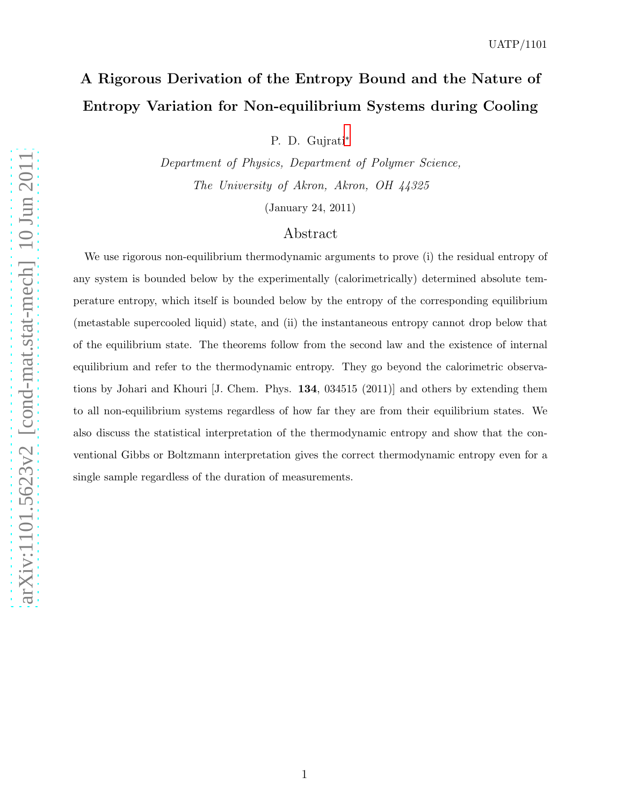# A Rigorous Derivation of the Entropy Bound and the Nature of Entropy Variation for Non-equilibrium Systems during Cooling

P. D. Gujrati[∗](#page-22-0)

Department of Physics, Department of Polymer Science, The University of Akron, Akron, OH 44325

(January 24, 2011)

## Abstract

We use rigorous non-equilibrium thermodynamic arguments to prove (i) the residual entropy of any system is bounded below by the experimentally (calorimetrically) determined absolute temperature entropy, which itself is bounded below by the entropy of the corresponding equilibrium (metastable supercooled liquid) state, and (ii) the instantaneous entropy cannot drop below that of the equilibrium state. The theorems follow from the second law and the existence of internal equilibrium and refer to the thermodynamic entropy. They go beyond the calorimetric observations by Johari and Khouri [J. Chem. Phys. 134, 034515 (2011)] and others by extending them to all non-equilibrium systems regardless of how far they are from their equilibrium states. We also discuss the statistical interpretation of the thermodynamic entropy and show that the conventional Gibbs or Boltzmann interpretation gives the correct thermodynamic entropy even for a single sample regardless of the duration of measurements.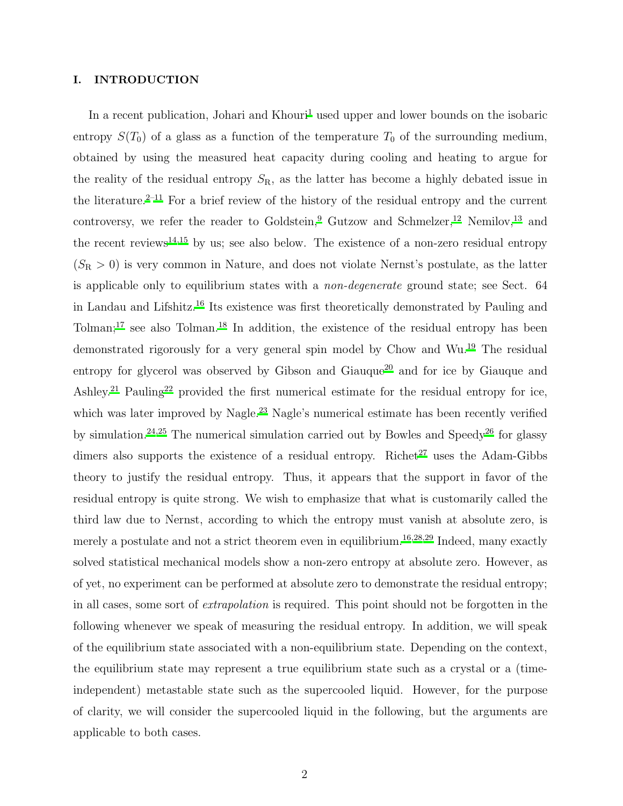#### I. INTRODUCTION

In a recent publication, Johari and Khouri<sup>[1](#page-22-1)</sup> used upper and lower bounds on the isobaric entropy  $S(T_0)$  of a glass as a function of the temperature  $T_0$  of the surrounding medium, obtained by using the measured heat capacity during cooling and heating to argue for the reality of the residual entropy  $S_{\rm R}$ , as the latter has become a highly debated issue in the literature.<sup>[2](#page-22-2)[–11](#page-22-3)</sup> For a brief review of the history of the residual entropy and the current controversy, we refer the reader to Goldstein, <sup>[9](#page-22-4)</sup> Gutzow and Schmelzer, <sup>[12](#page-22-5)</sup> Nemilov, <sup>[13](#page-22-6)</sup> and the recent reviews<sup>[14](#page-22-7)[,15](#page-22-8)</sup> by us; see also below. The existence of a non-zero residual entropy  $(S_R > 0)$  is very common in Nature, and does not violate Nernst's postulate, as the latter is applicable only to equilibrium states with a non-degenerate ground state; see Sect. 64 in Landau and Lifshitz.[16](#page-22-9) Its existence was first theoretically demonstrated by Pauling and Tolman;<sup>[17](#page-22-10)</sup> see also Tolman.<sup>[18](#page-22-11)</sup> In addition, the existence of the residual entropy has been demonstrated rigorously for a very general spin model by Chow and Wu.[19](#page-22-12) The residual entropy for glycerol was observed by Gibson and Giauque<sup>[20](#page-22-13)</sup> and for ice by Giauque and Ashley.<sup>[21](#page-22-14)</sup> Pauling<sup>[22](#page-22-15)</sup> provided the first numerical estimate for the residual entropy for ice, which was later improved by Nagle.<sup>[23](#page-22-16)</sup> Nagle's numerical estimate has been recently verified by simulation.<sup>[24](#page-23-0)[,25](#page-23-1)</sup> The numerical simulation carried out by Bowles and Speedy<sup>[26](#page-23-2)</sup> for glassy dimers also supports the existence of a residual entropy. Richet<sup>[27](#page-23-3)</sup> uses the Adam-Gibbs theory to justify the residual entropy. Thus, it appears that the support in favor of the residual entropy is quite strong. We wish to emphasize that what is customarily called the third law due to Nernst, according to which the entropy must vanish at absolute zero, is merely a postulate and not a strict theorem even in equilibrium.<sup>[16](#page-22-9)[,28](#page-23-4)[,29](#page-23-5)</sup> Indeed, many exactly solved statistical mechanical models show a non-zero entropy at absolute zero. However, as of yet, no experiment can be performed at absolute zero to demonstrate the residual entropy; in all cases, some sort of extrapolation is required. This point should not be forgotten in the following whenever we speak of measuring the residual entropy. In addition, we will speak of the equilibrium state associated with a non-equilibrium state. Depending on the context, the equilibrium state may represent a true equilibrium state such as a crystal or a (timeindependent) metastable state such as the supercooled liquid. However, for the purpose of clarity, we will consider the supercooled liquid in the following, but the arguments are applicable to both cases.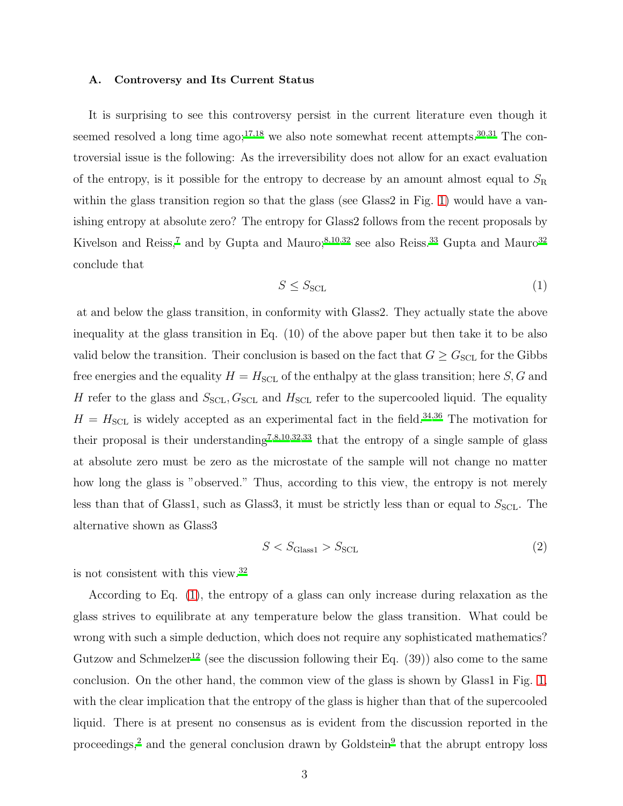#### <span id="page-2-1"></span>A. Controversy and Its Current Status

It is surprising to see this controversy persist in the current literature even though it seemed resolved a long time  $ago;^{17,18}$  $ago;^{17,18}$  $ago;^{17,18}$  $ago;^{17,18}$  we also note somewhat recent attempts.<sup>[30](#page-23-6)[,31](#page-23-7)</sup> The controversial issue is the following: As the irreversibility does not allow for an exact evaluation of the entropy, is it possible for the entropy to decrease by an amount almost equal to  $S_{\rm R}$ within the glass transition region so that the glass (see Glass2 in Fig. [1\)](#page-3-0) would have a vanishing entropy at absolute zero? The entropy for Glass2 follows from the recent proposals by Kivelson and Reiss,<sup>[7](#page-22-17)</sup> and by Gupta and Mauro;<sup>[8](#page-22-18)[,10](#page-22-19)[,32](#page-23-8)</sup> see also Reiss.<sup>[33](#page-23-9)</sup> Gupta and Mauro<sup>[32](#page-23-8)</sup> conclude that

<span id="page-2-0"></span>
$$
S \le S_{\text{SCL}} \tag{1}
$$

at and below the glass transition, in conformity with Glass2. They actually state the above inequality at the glass transition in Eq. (10) of the above paper but then take it to be also valid below the transition. Their conclusion is based on the fact that  $G \geq G_{\text{SCL}}$  for the Gibbs free energies and the equality  $H = H<sub>SCL</sub>$  of the enthalpy at the glass transition; here S, G and H refer to the glass and  $S_{\text{SCL}}$ ,  $G_{\text{SCL}}$  and  $H_{\text{SCL}}$  refer to the supercooled liquid. The equality  $H = H<sub>SCL</sub>$  is widely accepted as an experimental fact in the field.<sup>[34](#page-23-10)[,36](#page-23-11)</sup> The motivation for their proposal is their understanding<sup>[7](#page-22-17)[,8](#page-22-18)[,10](#page-22-19)[,32](#page-23-8)[,33](#page-23-9)</sup> that the entropy of a single sample of glass at absolute zero must be zero as the microstate of the sample will not change no matter how long the glass is "observed." Thus, according to this view, the entropy is not merely less than that of Glass1, such as Glass3, it must be strictly less than or equal to  $S<sub>SCL</sub>$ . The alternative shown as Glass3

$$
S < S_{\text{Glass1}} > S_{\text{SCL}} \tag{2}
$$

is not consistent with this view.[32](#page-23-8)

According to Eq. [\(1\)](#page-2-0), the entropy of a glass can only increase during relaxation as the glass strives to equilibrate at any temperature below the glass transition. What could be wrong with such a simple deduction, which does not require any sophisticated mathematics? Gutzow and Schmelzer<sup>[12](#page-22-5)</sup> (see the discussion following their Eq.  $(39)$ ) also come to the same conclusion. On the other hand, the common view of the glass is shown by Glass1 in Fig. [1,](#page-3-0) with the clear implication that the entropy of the glass is higher than that of the supercooled liquid. There is at present no consensus as is evident from the discussion reported in the proceedings,<sup>[2](#page-22-2)</sup> and the general conclusion drawn by Goldstein<sup>[9](#page-22-4)</sup> that the abrupt entropy loss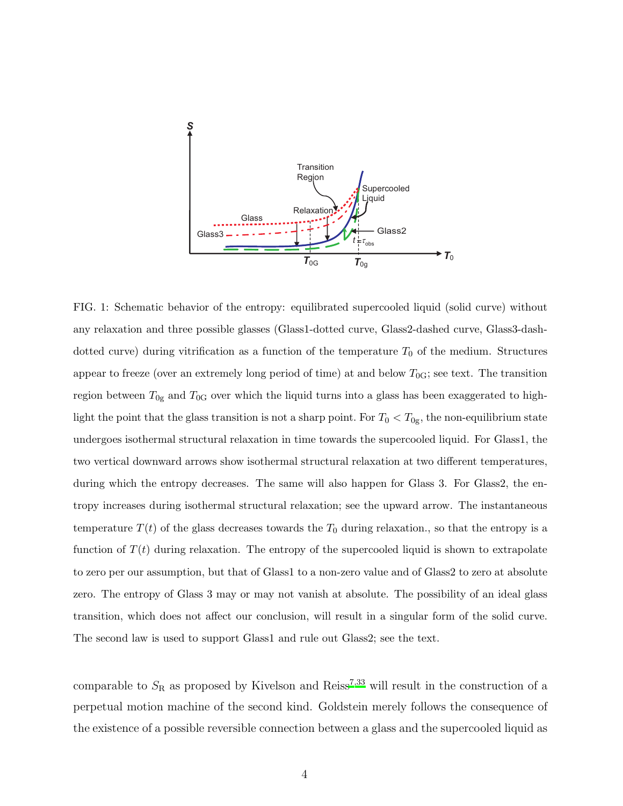

<span id="page-3-0"></span>FIG. 1: Schematic behavior of the entropy: equilibrated supercooled liquid (solid curve) without any relaxation and three possible glasses (Glass1-dotted curve, Glass2-dashed curve, Glass3-dashdotted curve) during vitrification as a function of the temperature  $T_0$  of the medium. Structures appear to freeze (over an extremely long period of time) at and below  $T_{0G}$ ; see text. The transition region between  $T_{0g}$  and  $T_{0G}$  over which the liquid turns into a glass has been exaggerated to highlight the point that the glass transition is not a sharp point. For  $T_0 < T_{0g}$ , the non-equilibrium state undergoes isothermal structural relaxation in time towards the supercooled liquid. For Glass1, the two vertical downward arrows show isothermal structural relaxation at two different temperatures, during which the entropy decreases. The same will also happen for Glass 3. For Glass 2, the entropy increases during isothermal structural relaxation; see the upward arrow. The instantaneous temperature  $T(t)$  of the glass decreases towards the  $T_0$  during relaxation., so that the entropy is a function of  $T(t)$  during relaxation. The entropy of the supercooled liquid is shown to extrapolate to zero per our assumption, but that of Glass1 to a non-zero value and of Glass2 to zero at absolute zero. The entropy of Glass 3 may or may not vanish at absolute. The possibility of an ideal glass transition, which does not affect our conclusion, will result in a singular form of the solid curve. The second law is used to support Glass1 and rule out Glass2; see the text.

comparable to  $S_R$  as proposed by Kivelson and Reiss<sup>[7](#page-22-17)[,33](#page-23-9)</sup> will result in the construction of a perpetual motion machine of the second kind. Goldstein merely follows the consequence of the existence of a possible reversible connection between a glass and the supercooled liquid as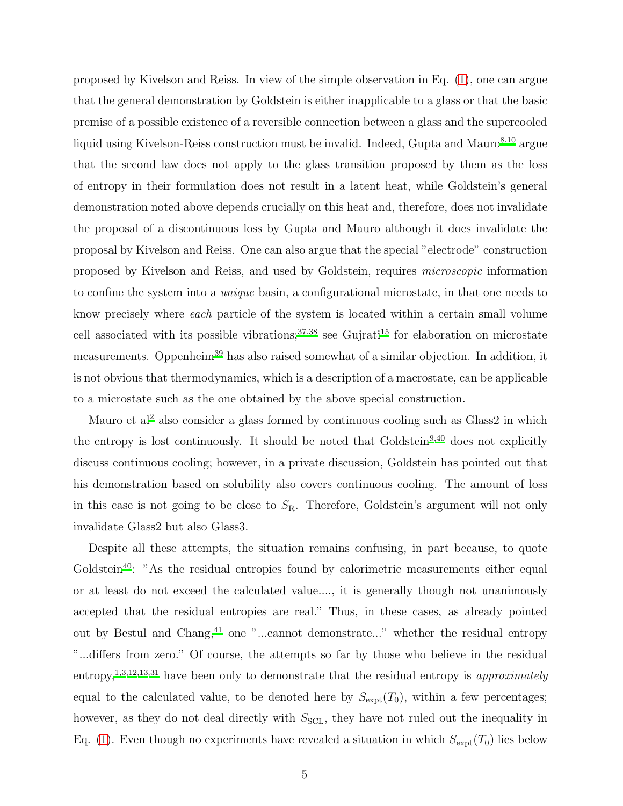proposed by Kivelson and Reiss. In view of the simple observation in Eq. [\(1\)](#page-2-0), one can argue that the general demonstration by Goldstein is either inapplicable to a glass or that the basic premise of a possible existence of a reversible connection between a glass and the supercooled liquid using Kivelson-Reiss construction must be invalid. Indeed, Gupta and Mauro $^{8,10}$  $^{8,10}$  $^{8,10}$  $^{8,10}$  argue that the second law does not apply to the glass transition proposed by them as the loss of entropy in their formulation does not result in a latent heat, while Goldstein's general demonstration noted above depends crucially on this heat and, therefore, does not invalidate the proposal of a discontinuous loss by Gupta and Mauro although it does invalidate the proposal by Kivelson and Reiss. One can also argue that the special "electrode" construction proposed by Kivelson and Reiss, and used by Goldstein, requires microscopic information to confine the system into a unique basin, a configurational microstate, in that one needs to know precisely where each particle of the system is located within a certain small volume cell associated with its possible vibrations; $37,38$  $37,38$  see Gujrati<sup>[15](#page-22-8)</sup> for elaboration on microstate measurements. Oppenheim<sup>[39](#page-23-14)</sup> has also raised somewhat of a similar objection. In addition, it is not obvious that thermodynamics, which is a description of a macrostate, can be applicable to a microstate such as the one obtained by the above special construction.

Mauro et al<sup>[2](#page-22-2)</sup> also consider a glass formed by continuous cooling such as Glass2 in which the entropy is lost continuously. It should be noted that Goldstein $9,40$  $9,40$  does not explicitly discuss continuous cooling; however, in a private discussion, Goldstein has pointed out that his demonstration based on solubility also covers continuous cooling. The amount of loss in this case is not going to be close to  $S_{\rm R}$ . Therefore, Goldstein's argument will not only invalidate Glass2 but also Glass3.

Despite all these attempts, the situation remains confusing, in part because, to quote  $Goldstein<sup>40</sup>:$  $Goldstein<sup>40</sup>:$  $Goldstein<sup>40</sup>:$  "As the residual entropies found by calorimetric measurements either equal or at least do not exceed the calculated value...., it is generally though not unanimously accepted that the residual entropies are real." Thus, in these cases, as already pointed out by Bestul and Chang,  $41$  one "...cannot demonstrate..." whether the residual entropy "...differs from zero." Of course, the attempts so far by those who believe in the residual entropy,<sup>[1](#page-22-1)[,3](#page-22-20)[,12](#page-22-5)[,13](#page-22-6)[,31](#page-23-7)</sup> have been only to demonstrate that the residual entropy is *approximately* equal to the calculated value, to be denoted here by  $S_{\text{expt}}(T_0)$ , within a few percentages; however, as they do not deal directly with  $S_{\text{SCL}}$ , they have not ruled out the inequality in Eq. [\(1\)](#page-2-0). Even though no experiments have revealed a situation in which  $S_{\text{expt}}(T_0)$  lies below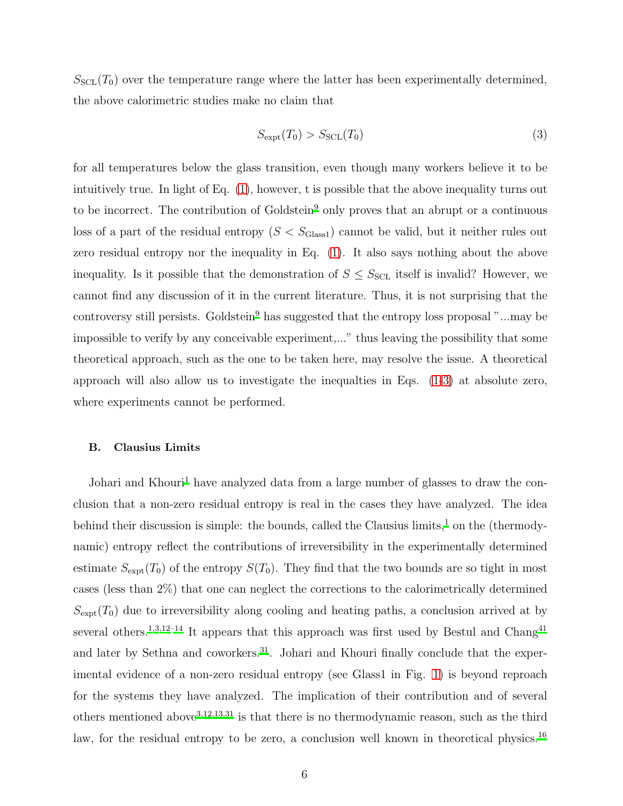$S<sub>SCL</sub>(T<sub>0</sub>)$  over the temperature range where the latter has been experimentally determined, the above calorimetric studies make no claim that

<span id="page-5-0"></span>
$$
S_{\text{expt}}(T_0) > S_{\text{SCL}}(T_0)
$$
\n
$$
(3)
$$

for all temperatures below the glass transition, even though many workers believe it to be intuitively true. In light of Eq. [\(1\)](#page-2-0), however, t is possible that the above inequality turns out to be incorrect. The contribution of Goldstein<sup>[9](#page-22-4)</sup> only proves that an abrupt or a continuous loss of a part of the residual entropy  $(S < S_{\text{Class}})$  cannot be valid, but it neither rules out zero residual entropy nor the inequality in Eq. [\(1\)](#page-2-0). It also says nothing about the above inequality. Is it possible that the demonstration of  $S \leq S_{\text{SCL}}$  itself is invalid? However, we cannot find any discussion of it in the current literature. Thus, it is not surprising that the controversy still persists. Goldstein<sup>[9](#page-22-4)</sup> has suggested that the entropy loss proposal "...may be impossible to verify by any conceivable experiment,..." thus leaving the possibility that some theoretical approach, such as the one to be taken here, may resolve the issue. A theoretical approach will also allow us to investigate the inequalties in Eqs. [\(1-](#page-2-0)[3\)](#page-5-0) at absolute zero, where experiments cannot be performed.

## B. Clausius Limits

Johari and Khouri<sup>[1](#page-22-1)</sup> have analyzed data from a large number of glasses to draw the conclusion that a non-zero residual entropy is real in the cases they have analyzed. The idea behind their discussion is simple: the bounds, called the Clausius limits,<sup>[1](#page-22-1)</sup> on the (thermodynamic) entropy reflect the contributions of irreversibility in the experimentally determined estimate  $S_{\text{expt}}(T_0)$  of the entropy  $S(T_0)$ . They find that the two bounds are so tight in most cases (less than 2%) that one can neglect the corrections to the calorimetrically determined  $S_{\text{expt}}(T_0)$  due to irreversibility along cooling and heating paths, a conclusion arrived at by several others.<sup>[1](#page-22-1)[,3](#page-22-20)[,12](#page-22-5)[–14](#page-22-7)</sup> It appears that this approach was first used by Bestul and Chang<sup>[41](#page-23-16)</sup> and later by Sethna and coworkers.<sup>[31](#page-23-7)</sup>. Johari and Khouri finally conclude that the experimental evidence of a non-zero residual entropy (see Glass1 in Fig. [1\)](#page-3-0) is beyond reproach for the systems they have analyzed. The implication of their contribution and of several others mentioned above<sup>[3](#page-22-20)[,12](#page-22-5)[,13](#page-22-6)[,31](#page-23-7)</sup> is that there is no thermodynamic reason, such as the third law, for the residual entropy to be zero, a conclusion well known in theoretical physics.<sup>[16](#page-22-9)</sup>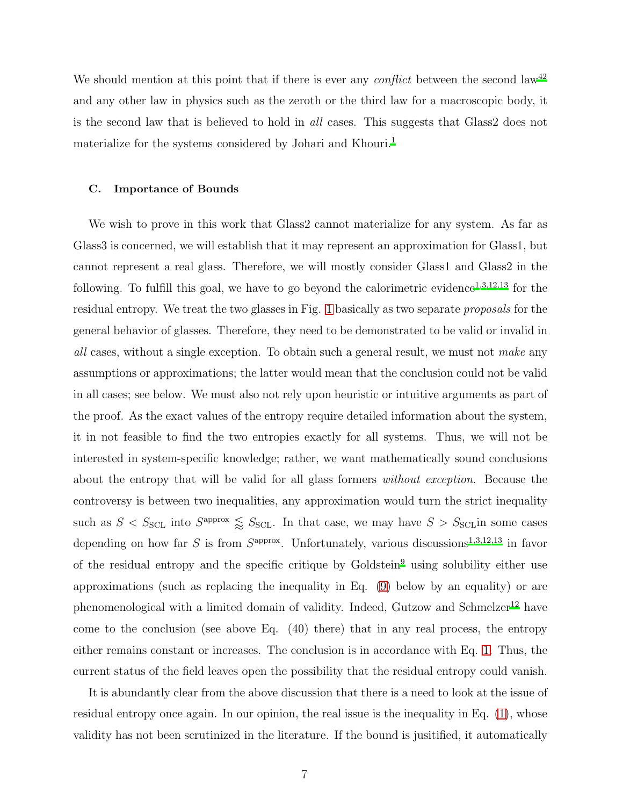We should mention at this point that if there is ever any *conflict* between the second law<sup>[42](#page-23-17)</sup> and any other law in physics such as the zeroth or the third law for a macroscopic body, it is the second law that is believed to hold in all cases. This suggests that Glass2 does not materialize for the systems considered by Johari and Khouri.<sup>[1](#page-22-1)</sup>

#### C. Importance of Bounds

We wish to prove in this work that Glass2 cannot materialize for any system. As far as Glass3 is concerned, we will establish that it may represent an approximation for Glass1, but cannot represent a real glass. Therefore, we will mostly consider Glass1 and Glass2 in the following. To fulfill this goal, we have to go beyond the calorimetric evidence<sup>[1](#page-22-1)[,3](#page-22-20)[,12](#page-22-5)[,13](#page-22-6)</sup> for the residual entropy. We treat the two glasses in Fig. [1](#page-3-0) basically as two separate proposals for the general behavior of glasses. Therefore, they need to be demonstrated to be valid or invalid in all cases, without a single exception. To obtain such a general result, we must not make any assumptions or approximations; the latter would mean that the conclusion could not be valid in all cases; see below. We must also not rely upon heuristic or intuitive arguments as part of the proof. As the exact values of the entropy require detailed information about the system, it in not feasible to find the two entropies exactly for all systems. Thus, we will not be interested in system-specific knowledge; rather, we want mathematically sound conclusions about the entropy that will be valid for all glass formers without exception. Because the controversy is between two inequalities, any approximation would turn the strict inequality such as  $S < S_{\text{SCL}}$  into  $S^{\text{approx}} \leq S_{\text{SCL}}$ . In that case, we may have  $S > S_{\text{SCL}}$  in some cases depending on how far S is from  $S^{\text{approx}}$ . Unfortunately, various discussions<sup>[1](#page-22-1)[,3](#page-22-20)[,12](#page-22-5)[,13](#page-22-6)</sup> in favor of the residual entropy and the specific critique by  $Goldstein<sup>9</sup>$  $Goldstein<sup>9</sup>$  $Goldstein<sup>9</sup>$  using solubility either use approximations (such as replacing the inequality in Eq. [\(9\)](#page-10-0) below by an equality) or are phenomenological with a limited domain of validity. Indeed, Gutzow and Schmelzer<sup>[12](#page-22-5)</sup> have come to the conclusion (see above Eq.  $(40)$  there) that in any real process, the entropy either remains constant or increases. The conclusion is in accordance with Eq. [1.](#page-2-0) Thus, the current status of the field leaves open the possibility that the residual entropy could vanish.

It is abundantly clear from the above discussion that there is a need to look at the issue of residual entropy once again. In our opinion, the real issue is the inequality in Eq. [\(1\)](#page-2-0), whose validity has not been scrutinized in the literature. If the bound is jusitified, it automatically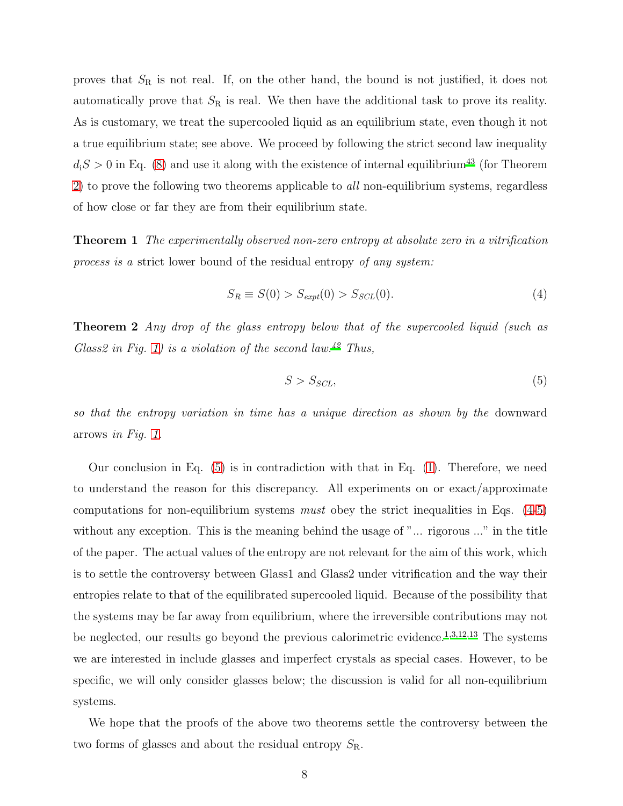proves that  $S_R$  is not real. If, on the other hand, the bound is not justified, it does not automatically prove that  $S_R$  is real. We then have the additional task to prove its reality. As is customary, we treat the supercooled liquid as an equilibrium state, even though it not a true equilibrium state; see above. We proceed by following the strict second law inequality  $d_iS > 0$  in Eq. [\(8\)](#page-10-1) and use it along with the existence of internal equilibrium<sup>[43](#page-24-0)</sup> (for Theorem [2\)](#page-7-0) to prove the following two theorems applicable to all non-equilibrium systems, regardless of how close or far they are from their equilibrium state.

<span id="page-7-3"></span>Theorem 1 The experimentally observed non-zero entropy at absolute zero in a vitrification process is a strict lower bound of the residual entropy of any system:

<span id="page-7-2"></span>
$$
S_R \equiv S(0) > S_{expt}(0) > S_{SCL}(0). \tag{4}
$$

<span id="page-7-0"></span>**Theorem 2** Any drop of the glass entropy below that of the supercooled liquid (such as Glass2 in Fig. [1\)](#page-3-0) is a violation of the second law.<sup>[42](#page-23-17)</sup> Thus,

<span id="page-7-1"></span>
$$
S > S_{SCL},\tag{5}
$$

so that the entropy variation in time has a unique direction as shown by the downward arrows in Fig. [1.](#page-3-0)

Our conclusion in Eq. [\(5\)](#page-7-1) is in contradiction with that in Eq. [\(1\)](#page-2-0). Therefore, we need to understand the reason for this discrepancy. All experiments on or exact/approximate computations for non-equilibrium systems *must* obey the strict inequalities in Eqs.  $(4-5)$  $(4-5)$ without any exception. This is the meaning behind the usage of "... rigorous ..." in the title of the paper. The actual values of the entropy are not relevant for the aim of this work, which is to settle the controversy between Glass1 and Glass2 under vitrification and the way their entropies relate to that of the equilibrated supercooled liquid. Because of the possibility that the systems may be far away from equilibrium, where the irreversible contributions may not be neglected, our results go beyond the previous calorimetric evidence.<sup>[1](#page-22-1)[,3](#page-22-20)[,12](#page-22-5)[,13](#page-22-6)</sup> The systems we are interested in include glasses and imperfect crystals as special cases. However, to be specific, we will only consider glasses below; the discussion is valid for all non-equilibrium systems.

We hope that the proofs of the above two theorems settle the controversy between the two forms of glasses and about the residual entropy  $S_{\rm R}$ .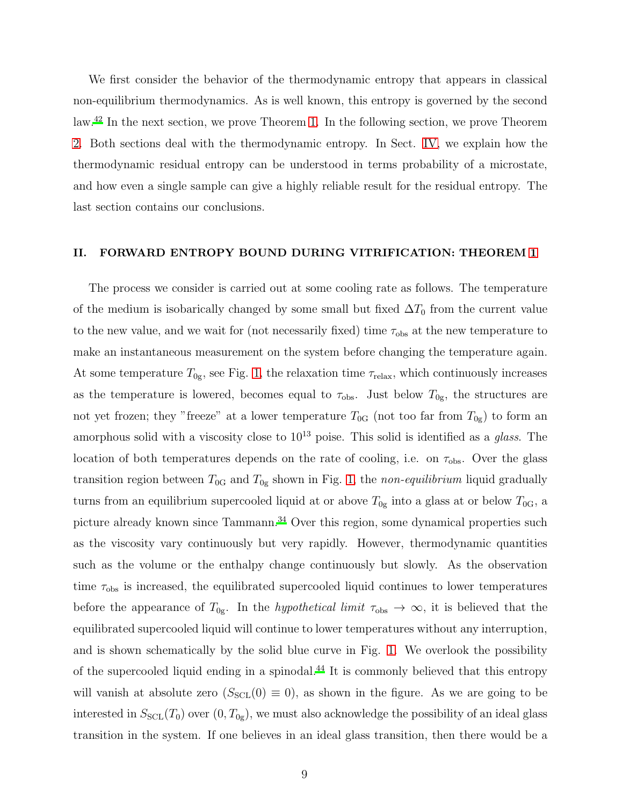We first consider the behavior of the thermodynamic entropy that appears in classical non-equilibrium thermodynamics. As is well known, this entropy is governed by the second law.[42](#page-23-17) In the next section, we prove Theorem [1.](#page-7-3) In the following section, we prove Theorem [2.](#page-7-0) Both sections deal with the thermodynamic entropy. In Sect. [IV,](#page-18-0) we explain how the thermodynamic residual entropy can be understood in terms probability of a microstate, and how even a single sample can give a highly reliable result for the residual entropy. The last section contains our conclusions.

#### II. FORWARD ENTROPY BOUND DURING VITRIFICATION: THEOREM [1](#page-7-3)

The process we consider is carried out at some cooling rate as follows. The temperature of the medium is isobarically changed by some small but fixed  $\Delta T_0$  from the current value to the new value, and we wait for (not necessarily fixed) time  $\tau_{obs}$  at the new temperature to make an instantaneous measurement on the system before changing the temperature again. At some temperature  $T_{0g}$ , see Fig. [1,](#page-3-0) the relaxation time  $\tau_{relax}$ , which continuously increases as the temperature is lowered, becomes equal to  $\tau_{obs}$ . Just below  $T_{0g}$ , the structures are not yet frozen; they "freeze" at a lower temperature  $T_{0G}$  (not too far from  $T_{0g}$ ) to form an amorphous solid with a viscosity close to  $10^{13}$  poise. This solid is identified as a glass. The location of both temperatures depends on the rate of cooling, i.e. on  $\tau_{obs}$ . Over the glass transition region between  $T_{0G}$  and  $T_{0g}$  shown in Fig. [1,](#page-3-0) the non-equilibrium liquid gradually turns from an equilibrium supercooled liquid at or above  $T_{0g}$  into a glass at or below  $T_{0G}$ , a picture already known since Tammann.<sup>[34](#page-23-10)</sup> Over this region, some dynamical properties such as the viscosity vary continuously but very rapidly. However, thermodynamic quantities such as the volume or the enthalpy change continuously but slowly. As the observation time  $\tau_{\rm obs}$  is increased, the equilibrated supercooled liquid continues to lower temperatures before the appearance of  $T_{0g}$ . In the *hypothetical limit*  $\tau_{obs} \to \infty$ , it is believed that the equilibrated supercooled liquid will continue to lower temperatures without any interruption, and is shown schematically by the solid blue curve in Fig. [1.](#page-3-0) We overlook the possibility of the supercooled liquid ending in a spinodal.[44](#page-24-1) It is commonly believed that this entropy will vanish at absolute zero  $(S<sub>SCL</sub>(0) \equiv 0)$ , as shown in the figure. As we are going to be interested in  $S_{SCL}(T_0)$  over  $(0, T_{0g})$ , we must also acknowledge the possibility of an ideal glass transition in the system. If one believes in an ideal glass transition, then there would be a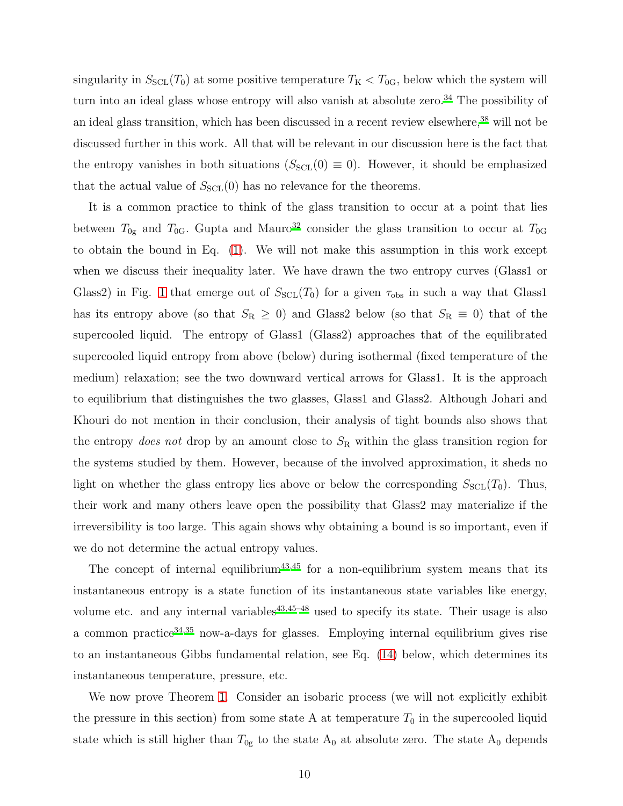singularity in  $S_{SCL}(T_0)$  at some positive temperature  $T_K < T_{0G}$ , below which the system will turn into an ideal glass whose entropy will also vanish at absolute zero.<sup>[34](#page-23-10)</sup> The possibility of an ideal glass transition, which has been discussed in a recent review elsewhere,<sup>[38](#page-23-13)</sup> will not be discussed further in this work. All that will be relevant in our discussion here is the fact that the entropy vanishes in both situations ( $S_{\text{SCL}}(0) \equiv 0$ ). However, it should be emphasized that the actual value of  $S_{SCL}(0)$  has no relevance for the theorems.

It is a common practice to think of the glass transition to occur at a point that lies between  $T_{0g}$  and  $T_{0G}$ . Gupta and Mauro<sup>[32](#page-23-8)</sup> consider the glass transition to occur at  $T_{0G}$ to obtain the bound in Eq. [\(1\)](#page-2-0). We will not make this assumption in this work except when we discuss their inequality later. We have drawn the two entropy curves (Glass1 or Glass2) in Fig. [1](#page-3-0) that emerge out of  $S<sub>SCL</sub>(T<sub>0</sub>)$  for a given  $\tau_{obs}$  in such a way that Glass1 has its entropy above (so that  $S_R \geq 0$ ) and Glass2 below (so that  $S_R \equiv 0$ ) that of the supercooled liquid. The entropy of Glass1 (Glass2) approaches that of the equilibrated supercooled liquid entropy from above (below) during isothermal (fixed temperature of the medium) relaxation; see the two downward vertical arrows for Glass1. It is the approach to equilibrium that distinguishes the two glasses, Glass1 and Glass2. Although Johari and Khouri do not mention in their conclusion, their analysis of tight bounds also shows that the entropy *does not* drop by an amount close to  $S_R$  within the glass transition region for the systems studied by them. However, because of the involved approximation, it sheds no light on whether the glass entropy lies above or below the corresponding  $S<sub>SCL</sub>(T<sub>0</sub>)$ . Thus, their work and many others leave open the possibility that Glass2 may materialize if the irreversibility is too large. This again shows why obtaining a bound is so important, even if we do not determine the actual entropy values.

The concept of internal equilibrium<sup>[43](#page-24-0)[,45](#page-24-2)</sup> for a non-equilibrium system means that its instantaneous entropy is a state function of its instantaneous state variables like energy, volume etc. and any internal variables<sup>[43](#page-24-0)[,45](#page-24-2)[–48](#page-24-3)</sup> used to specify its state. Their usage is also a common practice  $34,35$  $34,35$  now-a-days for glasses. Employing internal equilibrium gives rise to an instantaneous Gibbs fundamental relation, see Eq. [\(14\)](#page-14-0) below, which determines its instantaneous temperature, pressure, etc.

We now prove Theorem [1.](#page-7-3) Consider an isobaric process (we will not explicitly exhibit the pressure in this section) from some state A at temperature  $T_0$  in the supercooled liquid state which is still higher than  $T_{0g}$  to the state  $A_0$  at absolute zero. The state  $A_0$  depends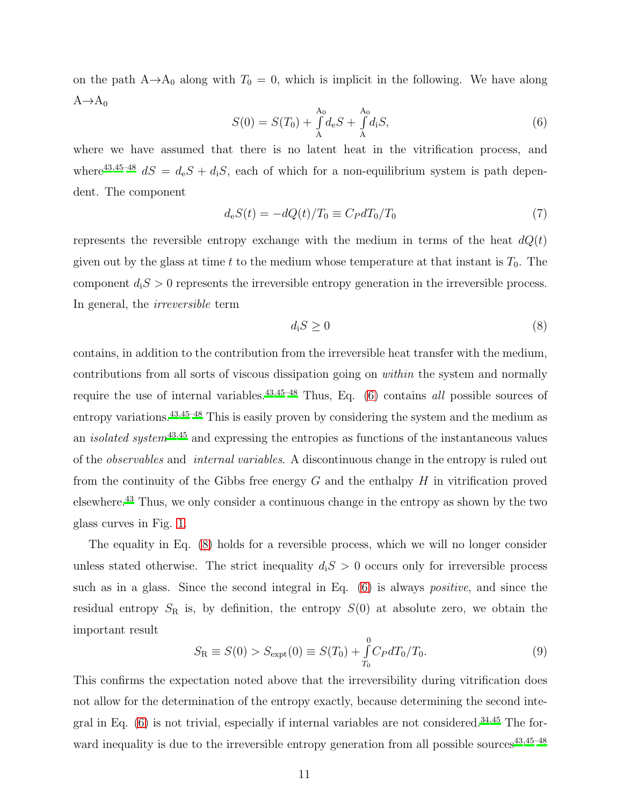on the path  $A\rightarrow A_0$  along with  $T_0 = 0$ , which is implicit in the following. We have along  $A \rightarrow A_0$ 

<span id="page-10-2"></span>
$$
S(0) = S(T_0) + \int_{A}^{A_0} d_e S + \int_{A}^{A_0} d_i S,
$$
\n(6)

where we have assumed that there is no latent heat in the vitrification process, and where<sup>[43](#page-24-0)[,45](#page-24-2)[–48](#page-24-3)</sup>  $dS = d_eS + d_iS$ , each of which for a non-equilibrium system is path dependent. The component

<span id="page-10-3"></span>
$$
d_e S(t) = -dQ(t)/T_0 \equiv C_P dT_0/T_0 \tag{7}
$$

represents the reversible entropy exchange with the medium in terms of the heat  $dQ(t)$ given out by the glass at time t to the medium whose temperature at that instant is  $T_0$ . The component  $d_iS > 0$  represents the irreversible entropy generation in the irreversible process. In general, the irreversible term

<span id="page-10-1"></span>
$$
d_i S \ge 0 \tag{8}
$$

contains, in addition to the contribution from the irreversible heat transfer with the medium, contributions from all sorts of viscous dissipation going on within the system and normally require the use of internal variables.<sup>[43](#page-24-0)[,45](#page-24-2)[–48](#page-24-3)</sup> Thus, Eq.  $(6)$  contains *all* possible sources of entropy variations.<sup>[43](#page-24-0)[,45](#page-24-2)[–48](#page-24-3)</sup> This is easily proven by considering the system and the medium as an *isolated system*<sup>[43](#page-24-0)[,45](#page-24-2)</sup> and expressing the entropies as functions of the instantaneous values of the observables and internal variables. A discontinuous change in the entropy is ruled out from the continuity of the Gibbs free energy  $G$  and the enthalpy  $H$  in vitrification proved elsewhere.[43](#page-24-0) Thus, we only consider a continuous change in the entropy as shown by the two glass curves in Fig. [1.](#page-3-0)

The equality in Eq. [\(8\)](#page-10-1) holds for a reversible process, which we will no longer consider unless stated otherwise. The strict inequality  $d_iS > 0$  occurs only for irreversible process such as in a glass. Since the second integral in Eq. [\(6\)](#page-10-2) is always *positive*, and since the residual entropy  $S_R$  is, by definition, the entropy  $S(0)$  at absolute zero, we obtain the important result

<span id="page-10-0"></span>
$$
S_{\rm R} \equiv S(0) > S_{\rm expt}(0) \equiv S(T_0) + \int_{T_0}^{0} C_P dT_0/T_0.
$$
\n(9)

This confirms the expectation noted above that the irreversibility during vitrification does not allow for the determination of the entropy exactly, because determining the second integral in Eq.  $(6)$  is not trivial, especially if internal variables are not considered.<sup>[34](#page-23-10)[,45](#page-24-2)</sup> The forward inequality is due to the irreversible entropy generation from all possible sources $43,45-48$  $43,45-48$  $43,45-48$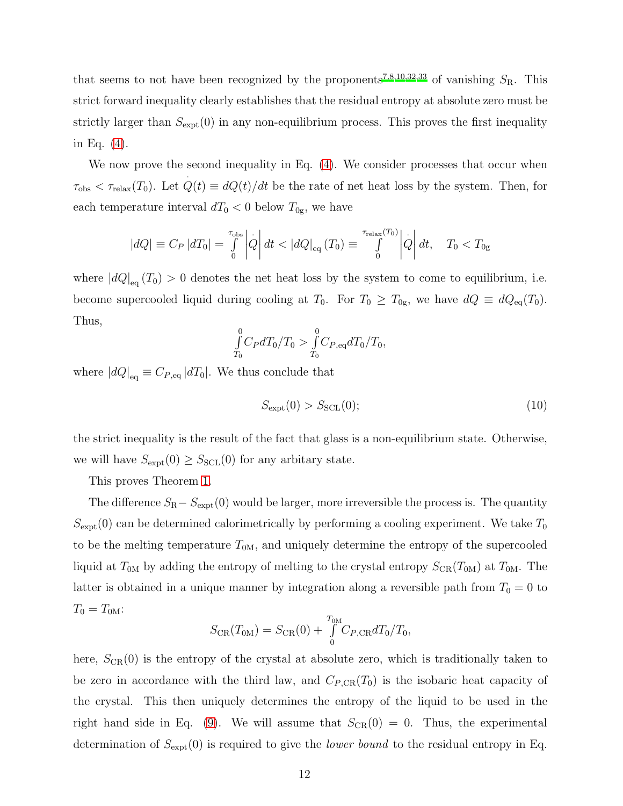that seems to not have been recognized by the proponents<sup>[7](#page-22-17)[,8](#page-22-18)[,10](#page-22-19)[,32](#page-23-8)[,33](#page-23-9)</sup> of vanishing  $S_{\rm R}$ . This strict forward inequality clearly establishes that the residual entropy at absolute zero must be strictly larger than  $S_{\text{expt}}(0)$  in any non-equilibrium process. This proves the first inequality in Eq. [\(4\)](#page-7-2).

We now prove the second inequality in Eq.  $(4)$ . We consider processes that occur when  $\tau_{\text{obs}} < \tau_{\text{relax}}(T_0)$ . Let  $Q(t) \equiv dQ(t)/dt$  be the rate of net heat loss by the system. Then, for · each temperature interval  $dT_0 < 0$  below  $T_{0g}$ , we have

$$
|dQ| \equiv C_P |dT_0| = \int_0^{\tau_{\text{obs}}} \left| \dot{Q} \right| dt < |dQ|_{\text{eq}} (T_0) \equiv \int_0^{\tau_{\text{relax}}(T_0)} \left| \dot{Q} \right| dt, \quad T_0 < T_{0g}
$$

where  $|dQ|_{\text{eq}}(T_0) > 0$  denotes the net heat loss by the system to come to equilibrium, i.e. become supercooled liquid during cooling at  $T_0$ . For  $T_0 \geq T_{0g}$ , we have  $dQ \equiv dQ_{eq}(T_0)$ . Thus,

$$
\int_{T_0}^{0} C_P dT_0/T_0 > \int_{T_0}^{0} C_{P,\text{eq}} dT_0/T_0,
$$

where  $|dQ|_{\text{eq}} \equiv C_{P,\text{eq}} |dT_0|$ . We thus conclude that

<span id="page-11-0"></span>
$$
S_{\rm expt}(0) > S_{\rm SCL}(0); \tag{10}
$$

the strict inequality is the result of the fact that glass is a non-equilibrium state. Otherwise, we will have  $S_{\text{expt}}(0) \geq S_{\text{SCL}}(0)$  for any arbitary state.

This proves Theorem [1.](#page-7-3)

The difference  $S_{\rm R}-S_{\rm expt}(0)$  would be larger, more irreversible the process is. The quantity  $S_{\text{expt}}(0)$  can be determined calorimetrically by performing a cooling experiment. We take  $T_0$ to be the melting temperature  $T_{0M}$ , and uniquely determine the entropy of the supercooled liquid at  $T_{0M}$  by adding the entropy of melting to the crystal entropy  $S_{CR}(T_{0M})$  at  $T_{0M}$ . The latter is obtained in a unique manner by integration along a reversible path from  $T_0 = 0$  to  $T_0 = T_{0M}$ 

$$
S_{\rm CR}(T_{\rm 0M}) = S_{\rm CR}(0) + \int_{0}^{T_{\rm 0M}} C_{P, \rm CR} dT_0/T_0,
$$

here,  $S_{CR}(0)$  is the entropy of the crystal at absolute zero, which is traditionally taken to be zero in accordance with the third law, and  $C_{P,CR}(T_0)$  is the isobaric heat capacity of the crystal. This then uniquely determines the entropy of the liquid to be used in the right hand side in Eq. [\(9\)](#page-10-0). We will assume that  $S_{CR}(0) = 0$ . Thus, the experimental determination of  $S_{\text{expt}}(0)$  is required to give the *lower bound* to the residual entropy in Eq.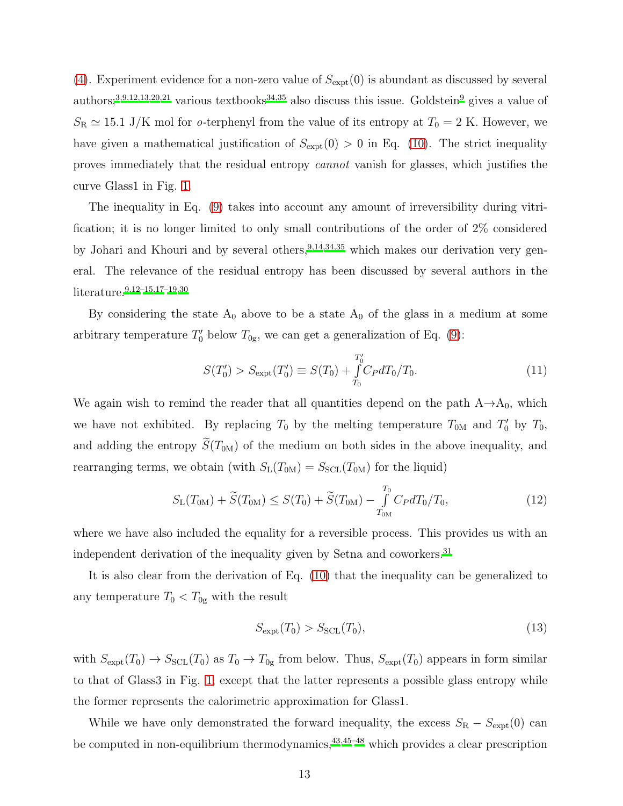[\(4\)](#page-7-2). Experiment evidence for a non-zero value of  $S_{\text{expt}}(0)$  is abundant as discussed by several authors;<sup>[3](#page-22-20)[,9](#page-22-4)[,12](#page-22-5)[,13](#page-22-6)[,20](#page-22-13)[,21](#page-22-14)</sup> various textbooks<sup>[34](#page-23-10)[,35](#page-23-18)</sup> also discuss this issue. Goldstein<sup>[9](#page-22-4)</sup> gives a value of  $S_{\rm R} \simeq 15.1$  J/K mol for *o*-terphenyl from the value of its entropy at  $T_0 = 2$  K. However, we have given a mathematical justification of  $S_{\text{expt}}(0) > 0$  in Eq. [\(10\)](#page-11-0). The strict inequality proves immediately that the residual entropy cannot vanish for glasses, which justifies the curve Glass1 in Fig. [1.](#page-3-0)

The inequality in Eq. [\(9\)](#page-10-0) takes into account any amount of irreversibility during vitrification; it is no longer limited to only small contributions of the order of 2% considered by Johari and Khouri and by several others,  $9,14,34,35$  $9,14,34,35$  $9,14,34,35$  $9,14,34,35$  which makes our derivation very general. The relevance of the residual entropy has been discussed by several authors in the literature.[9](#page-22-4)[,12](#page-22-5)[–15](#page-22-8)[,17](#page-22-10)[–19](#page-22-12)[,30](#page-23-6)

By considering the state  $A_0$  above to be a state  $A_0$  of the glass in a medium at some arbitrary temperature  $T'_0$  below  $T_{0g}$ , we can get a generalization of Eq. [\(9\)](#page-10-0):

<span id="page-12-1"></span>
$$
S(T_0') > S_{\text{expt}}(T_0') \equiv S(T_0) + \int_{T_0}^{T_0'} C_P dT_0 / T_0.
$$
\n(11)

We again wish to remind the reader that all quantities depend on the path  $A\rightarrow A_0$ , which we have not exhibited. By replacing  $T_0$  by the melting temperature  $T_{0M}$  and  $T'_0$  by  $T_0$ , and adding the entropy  $\widetilde{S}(T_{0M})$  of the medium on both sides in the above inequality, and rearranging terms, we obtain (with  $S_{L}(T_{0M}) = S_{SCL}(T_{0M})$  for the liquid)

<span id="page-12-0"></span>
$$
S_{\rm L}(T_{\rm 0M}) + \widetilde{S}(T_{\rm 0M}) \leq S(T_0) + \widetilde{S}(T_{\rm 0M}) - \int_{T_{\rm 0M}}^{T_0} C_P dT_0/T_0, \tag{12}
$$

where we have also included the equality for a reversible process. This provides us with an independent derivation of the inequality given by Setna and coworkers.<sup>[31](#page-23-7)</sup>

It is also clear from the derivation of Eq. [\(10\)](#page-11-0) that the inequality can be generalized to any temperature  $T_0 < T_{0g}$  with the result

$$
S_{\text{expt}}(T_0) > S_{\text{SCL}}(T_0),\tag{13}
$$

with  $S_{\text{expt}}(T_0) \to S_{\text{SCL}}(T_0)$  as  $T_0 \to T_{0g}$  from below. Thus,  $S_{\text{expt}}(T_0)$  appears in form similar to that of Glass3 in Fig. [1,](#page-3-0) except that the latter represents a possible glass entropy while the former represents the calorimetric approximation for Glass1.

While we have only demonstrated the forward inequality, the excess  $S_{\rm R} - S_{\rm expt}(0)$  can be computed in non-equilibrium thermodynamics, $43,45-48$  $43,45-48$  $43,45-48$  which provides a clear prescription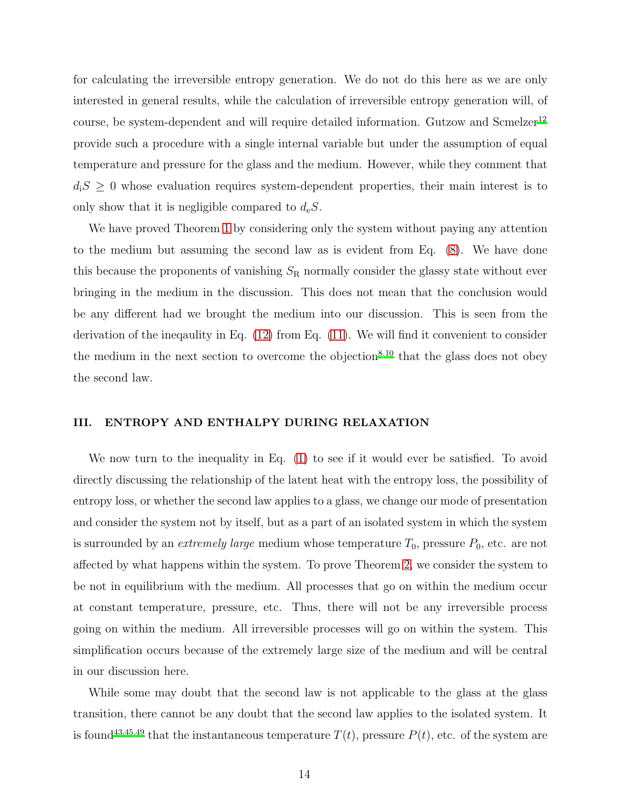for calculating the irreversible entropy generation. We do not do this here as we are only interested in general results, while the calculation of irreversible entropy generation will, of course, be system-dependent and will require detailed information. Gutzow and Scmelzer<sup>[12](#page-22-5)</sup> provide such a procedure with a single internal variable but under the assumption of equal temperature and pressure for the glass and the medium. However, while they comment that  $d_iS \geq 0$  whose evaluation requires system-dependent properties, their main interest is to only show that it is negligible compared to  $d_eS$ .

We have proved Theorem [1](#page-7-3) by considering only the system without paying any attention to the medium but assuming the second law as is evident from Eq. [\(8\)](#page-10-1). We have done this because the proponents of vanishing  $S_R$  normally consider the glassy state without ever bringing in the medium in the discussion. This does not mean that the conclusion would be any different had we brought the medium into our discussion. This is seen from the derivation of the ineqaulity in Eq. [\(12\)](#page-12-0) from Eq. [\(11\)](#page-12-1). We will find it convenient to consider the medium in the next section to overcome the objection<sup>[8](#page-22-18)[,10](#page-22-19)</sup> that the glass does not obey the second law.

#### III. ENTROPY AND ENTHALPY DURING RELAXATION

We now turn to the inequality in Eq.  $(1)$  to see if it would ever be satisfied. To avoid directly discussing the relationship of the latent heat with the entropy loss, the possibility of entropy loss, or whether the second law applies to a glass, we change our mode of presentation and consider the system not by itself, but as a part of an isolated system in which the system is surrounded by an *extremely large* medium whose temperature  $T_0$ , pressure  $P_0$ , etc. are not affected by what happens within the system. To prove Theorem [2,](#page-7-0) we consider the system to be not in equilibrium with the medium. All processes that go on within the medium occur at constant temperature, pressure, etc. Thus, there will not be any irreversible process going on within the medium. All irreversible processes will go on within the system. This simplification occurs because of the extremely large size of the medium and will be central in our discussion here.

While some may doubt that the second law is not applicable to the glass at the glass transition, there cannot be any doubt that the second law applies to the isolated system. It is found<sup>[43](#page-24-0)[,45](#page-24-2)[,49](#page-24-4)</sup> that the instantaneous temperature  $T(t)$ , pressure  $P(t)$ , etc. of the system are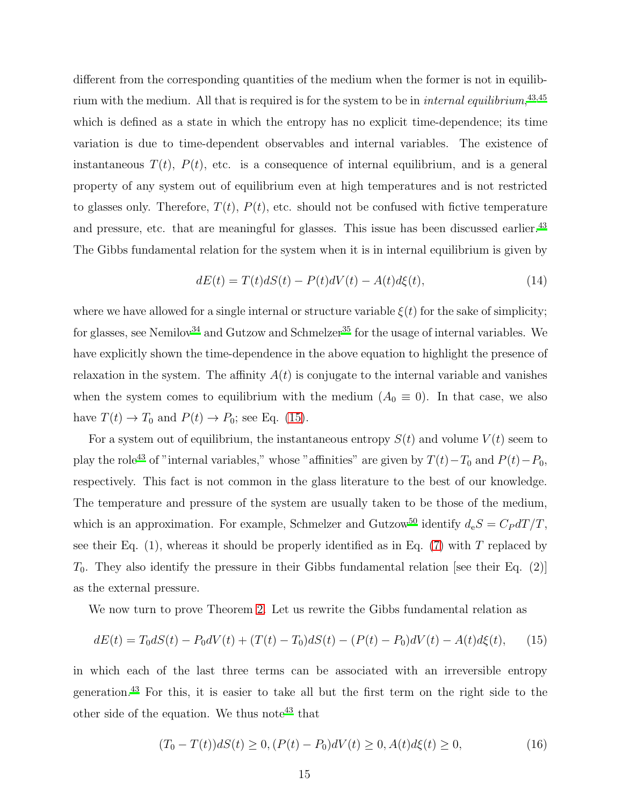different from the corresponding quantities of the medium when the former is not in equilibrium with the medium. All that is required is for the system to be in *internal equilibrium*,<sup>[43](#page-24-0)[,45](#page-24-2)</sup> which is defined as a state in which the entropy has no explicit time-dependence; its time variation is due to time-dependent observables and internal variables. The existence of instantaneous  $T(t)$ ,  $P(t)$ , etc. is a consequence of internal equilibrium, and is a general property of any system out of equilibrium even at high temperatures and is not restricted to glasses only. Therefore,  $T(t)$ ,  $P(t)$ , etc. should not be confused with fictive temperature and pressure, etc. that are meaningful for glasses. This issue has been discussed earlier.<sup>[43](#page-24-0)</sup> The Gibbs fundamental relation for the system when it is in internal equilibrium is given by

<span id="page-14-0"></span>
$$
dE(t) = T(t)dS(t) - P(t)dV(t) - A(t)d\xi(t),
$$
\n(14)

where we have allowed for a single internal or structure variable  $\xi(t)$  for the sake of simplicity; for glasses, see Nemilov<sup>[34](#page-23-10)</sup> and Gutzow and Schmelzer<sup>[35](#page-23-18)</sup> for the usage of internal variables. We have explicitly shown the time-dependence in the above equation to highlight the presence of relaxation in the system. The affinity  $A(t)$  is conjugate to the internal variable and vanishes when the system comes to equilibrium with the medium  $(A_0 \equiv 0)$ . In that case, we also have  $T(t) \to T_0$  and  $P(t) \to P_0$ ; see Eq. [\(15\)](#page-14-1).

For a system out of equilibrium, the instantaneous entropy  $S(t)$  and volume  $V(t)$  seem to play the role<sup>[43](#page-24-0)</sup> of "internal variables," whose "affinities" are given by  $T(t)-T_0$  and  $P(t)-P_0$ , respectively. This fact is not common in the glass literature to the best of our knowledge. The temperature and pressure of the system are usually taken to be those of the medium, which is an approximation. For example, Schmelzer and Gutzow<sup>[50](#page-24-5)</sup> identify  $d_eS = C_P dT/T$ , see their Eq.  $(1)$ , whereas it should be properly identified as in Eq.  $(7)$  with T replaced by  $T_0$ . They also identify the pressure in their Gibbs fundamental relation [see their Eq. (2)] as the external pressure.

We now turn to prove Theorem [2.](#page-7-0) Let us rewrite the Gibbs fundamental relation as

<span id="page-14-1"></span>
$$
dE(t) = T_0 dS(t) - P_0 dV(t) + (T(t) - T_0)dS(t) - (P(t) - P_0)dV(t) - A(t)d\xi(t), \qquad (15)
$$

in which each of the last three terms can be associated with an irreversible entropy generation.[43](#page-24-0) For this, it is easier to take all but the first term on the right side to the other side of the equation. We thus note<sup>[43](#page-24-0)</sup> that

<span id="page-14-2"></span>
$$
(T_0 - T(t))dS(t) \ge 0, (P(t) - P_0)dV(t) \ge 0, A(t)d\xi(t) \ge 0,
$$
\n(16)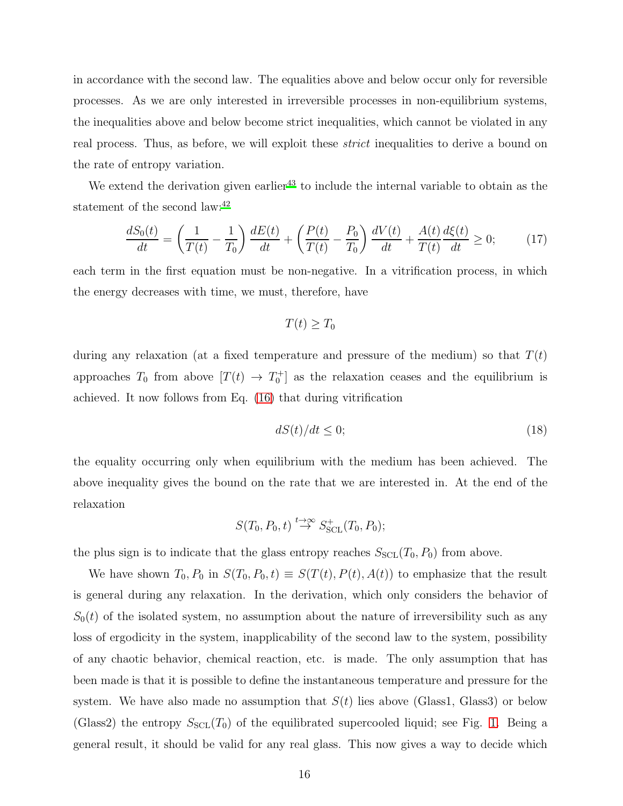in accordance with the second law. The equalities above and below occur only for reversible processes. As we are only interested in irreversible processes in non-equilibrium systems, the inequalities above and below become strict inequalities, which cannot be violated in any real process. Thus, as before, we will exploit these *strict* inequalities to derive a bound on the rate of entropy variation.

We extend the derivation given earlier<sup>[43](#page-24-0)</sup> to include the internal variable to obtain as the statement of the second law:<sup>[42](#page-23-17)</sup>

<span id="page-15-1"></span>
$$
\frac{dS_0(t)}{dt} = \left(\frac{1}{T(t)} - \frac{1}{T_0}\right)\frac{dE(t)}{dt} + \left(\frac{P(t)}{T(t)} - \frac{P_0}{T_0}\right)\frac{dV(t)}{dt} + \frac{A(t)}{T(t)}\frac{d\xi(t)}{dt} \ge 0;\tag{17}
$$

each term in the first equation must be non-negative. In a vitrification process, in which the energy decreases with time, we must, therefore, have

$$
T(t) \geq T_0
$$

during any relaxation (at a fixed temperature and pressure of the medium) so that  $T(t)$ approaches  $T_0$  from above  $[T(t) \to T_0^+]$  as the relaxation ceases and the equilibrium is achieved. It now follows from Eq. [\(16\)](#page-14-2) that during vitrification

<span id="page-15-0"></span>
$$
dS(t)/dt \le 0;\t\t(18)
$$

the equality occurring only when equilibrium with the medium has been achieved. The above inequality gives the bound on the rate that we are interested in. At the end of the relaxation

$$
S(T_0, P_0, t) \stackrel{t \to \infty}{\to} S^+_{\text{SCL}}(T_0, P_0);
$$

the plus sign is to indicate that the glass entropy reaches  $S<sub>SCL</sub>(T<sub>0</sub>, P<sub>0</sub>)$  from above.

We have shown  $T_0$ ,  $P_0$  in  $S(T_0, P_0, t) \equiv S(T(t), P(t), A(t))$  to emphasize that the result is general during any relaxation. In the derivation, which only considers the behavior of  $S_0(t)$  of the isolated system, no assumption about the nature of irreversibility such as any loss of ergodicity in the system, inapplicability of the second law to the system, possibility of any chaotic behavior, chemical reaction, etc. is made. The only assumption that has been made is that it is possible to define the instantaneous temperature and pressure for the system. We have also made no assumption that  $S(t)$  lies above (Glass1, Glass3) or below (Glass2) the entropy  $S<sub>SCL</sub>(T<sub>0</sub>)$  of the equilibrated supercooled liquid; see Fig. [1.](#page-3-0) Being a general result, it should be valid for any real glass. This now gives a way to decide which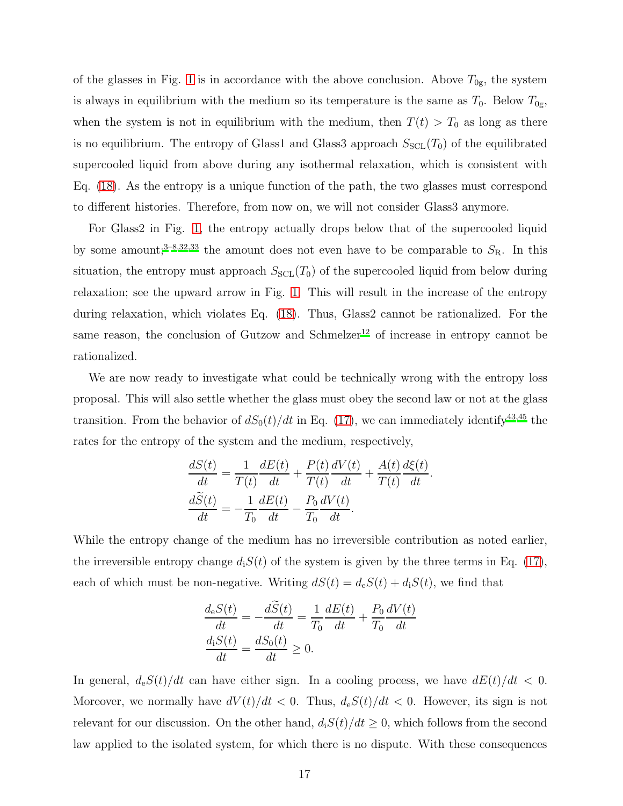of the glasses in Fig. [1](#page-3-0) is in accordance with the above conclusion. Above  $T_{0g}$ , the system is always in equilibrium with the medium so its temperature is the same as  $T_0$ . Below  $T_{0g}$ , when the system is not in equilibrium with the medium, then  $T(t) > T_0$  as long as there is no equilibrium. The entropy of Glass1 and Glass3 approach  $S<sub>SCL</sub>(T<sub>0</sub>)$  of the equilibrated supercooled liquid from above during any isothermal relaxation, which is consistent with Eq. [\(18\)](#page-15-0). As the entropy is a unique function of the path, the two glasses must correspond to different histories. Therefore, from now on, we will not consider Glass3 anymore.

For Glass2 in Fig. [1,](#page-3-0) the entropy actually drops below that of the supercooled liquid by some amount;<sup>[3](#page-22-20)[–8](#page-22-18)[,32](#page-23-8)[,33](#page-23-9)</sup> the amount does not even have to be comparable to  $S_{\rm R}$ . In this situation, the entropy must approach  $S<sub>SCL</sub>(T<sub>0</sub>)$  of the supercooled liquid from below during relaxation; see the upward arrow in Fig. [1.](#page-3-0) This will result in the increase of the entropy during relaxation, which violates Eq. [\(18\)](#page-15-0). Thus, Glass2 cannot be rationalized. For the same reason, the conclusion of Gutzow and Schmelzer<sup>[12](#page-22-5)</sup> of increase in entropy cannot be rationalized.

We are now ready to investigate what could be technically wrong with the entropy loss proposal. This will also settle whether the glass must obey the second law or not at the glass transition. From the behavior of  $dS_0(t)/dt$  in Eq. [\(17\)](#page-15-1), we can immediately identify<sup>[43](#page-24-0)[,45](#page-24-2)</sup> the rates for the entropy of the system and the medium, respectively,

$$
\frac{dS(t)}{dt} = \frac{1}{T(t)} \frac{dE(t)}{dt} + \frac{P(t)}{T(t)} \frac{dV(t)}{dt} + \frac{A(t)}{T(t)} \frac{d\xi(t)}{dt}.
$$

$$
\frac{d\widetilde{S}(t)}{dt} = -\frac{1}{T_0} \frac{dE(t)}{dt} - \frac{P_0}{T_0} \frac{dV(t)}{dt}.
$$

While the entropy change of the medium has no irreversible contribution as noted earlier, the irreversible entropy change  $d_iS(t)$  of the system is given by the three terms in Eq. [\(17\)](#page-15-1), each of which must be non-negative. Writing  $dS(t) = d_eS(t) + d_iS(t)$ , we find that

$$
\frac{d_e S(t)}{dt} = -\frac{dS(t)}{dt} = \frac{1}{T_0} \frac{dE(t)}{dt} + \frac{P_0}{T_0} \frac{dV(t)}{dt}
$$

$$
\frac{d_i S(t)}{dt} = \frac{dS_0(t)}{dt} \ge 0.
$$

In general,  $d_eS(t)/dt$  can have either sign. In a cooling process, we have  $dE(t)/dt < 0$ . Moreover, we normally have  $dV(t)/dt < 0$ . Thus,  $d_eS(t)/dt < 0$ . However, its sign is not relevant for our discussion. On the other hand,  $d_iS(t)/dt \geq 0$ , which follows from the second law applied to the isolated system, for which there is no dispute. With these consequences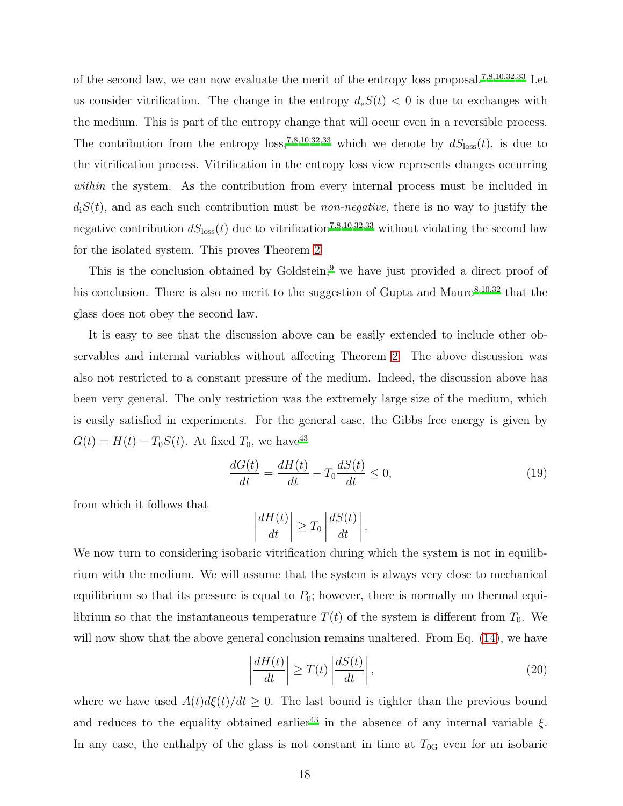of the second law, we can now evaluate the merit of the entropy loss proposal.<sup>[7](#page-22-17)[,8](#page-22-18)[,10](#page-22-19)[,32](#page-23-8)[,33](#page-23-9)</sup> Let us consider vitrification. The change in the entropy  $d_eS(t) < 0$  is due to exchanges with the medium. This is part of the entropy change that will occur even in a reversible process. The contribution from the entropy loss,<sup>[7](#page-22-17)[,8](#page-22-18)[,10](#page-22-19)[,32](#page-23-8)[,33](#page-23-9)</sup> which we denote by  $dS_{\text{loss}}(t)$ , is due to the vitrification process. Vitrification in the entropy loss view represents changes occurring within the system. As the contribution from every internal process must be included in  $d_iS(t)$ , and as each such contribution must be *non-negative*, there is no way to justify the negative contribution  $dS_{\text{loss}}(t)$  due to vitrification<sup>[7](#page-22-17)[,8](#page-22-18)[,10](#page-22-19)[,32](#page-23-8)[,33](#page-23-9)</sup> without violating the second law for the isolated system. This proves Theorem [2.](#page-7-0)

This is the conclusion obtained by Goldstein;<sup>[9](#page-22-4)</sup> we have just provided a direct proof of his conclusion. There is also no merit to the suggestion of Gupta and Mauro $8,10,32$  $8,10,32$  $8,10,32$  that the glass does not obey the second law.

It is easy to see that the discussion above can be easily extended to include other observables and internal variables without affecting Theorem [2.](#page-7-0) The above discussion was also not restricted to a constant pressure of the medium. Indeed, the discussion above has been very general. The only restriction was the extremely large size of the medium, which is easily satisfied in experiments. For the general case, the Gibbs free energy is given by  $G(t) = H(t) - T_0S(t)$ . At fixed  $T_0$ , we have<sup>[43](#page-24-0)</sup>

$$
\frac{dG(t)}{dt} = \frac{dH(t)}{dt} - T_0 \frac{dS(t)}{dt} \le 0,
$$
\n(19)

from which it follows that

$$
\left|\frac{dH(t)}{dt}\right| \geq T_0 \left|\frac{dS(t)}{dt}\right|.
$$

We now turn to considering isobaric vitrification during which the system is not in equilibrium with the medium. We will assume that the system is always very close to mechanical equilibrium so that its pressure is equal to  $P_0$ ; however, there is normally no thermal equilibrium so that the instantaneous temperature  $T(t)$  of the system is different from  $T_0$ . We will now show that the above general conclusion remains unaltered. From Eq.  $(14)$ , we have

$$
\left| \frac{dH(t)}{dt} \right| \ge T(t) \left| \frac{dS(t)}{dt} \right|,\tag{20}
$$

where we have used  $A(t)d\xi(t)/dt \geq 0$ . The last bound is tighter than the previous bound and reduces to the equality obtained earlier<sup>[43](#page-24-0)</sup> in the absence of any internal variable  $\xi$ . In any case, the enthalpy of the glass is not constant in time at  $T_{0G}$  even for an isobaric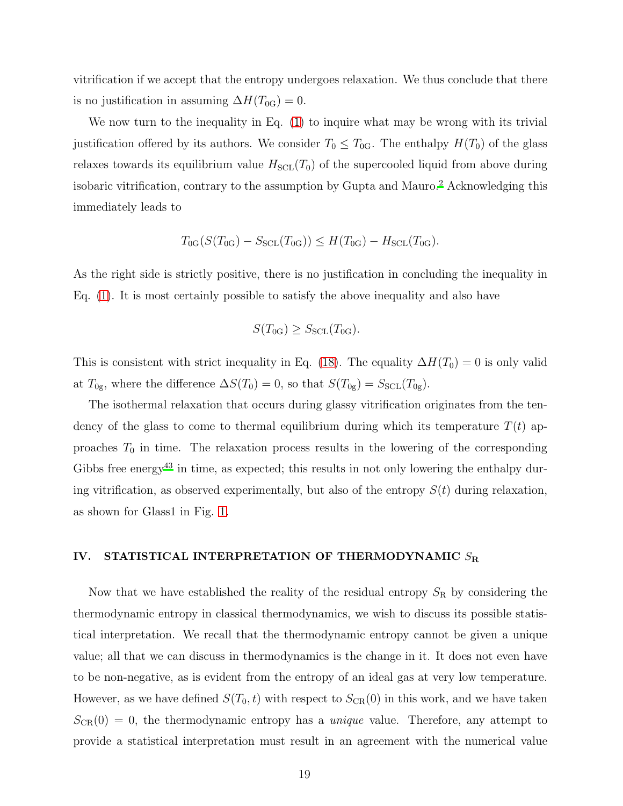vitrification if we accept that the entropy undergoes relaxation. We thus conclude that there is no justification in assuming  $\Delta H(T_{0G}) = 0$ .

We now turn to the inequality in Eq. [\(1\)](#page-2-0) to inquire what may be wrong with its trivial justification offered by its authors. We consider  $T_0 \leq T_{0}$ . The enthalpy  $H(T_0)$  of the glass relaxes towards its equilibrium value  $H_{\text{SCL}}(T_0)$  of the supercooled liquid from above during isobaric vitrification, contrary to the assumption by Gupta and Mauro.[2](#page-22-2) Acknowledging this immediately leads to

$$
T_{0G}(S(T_{0G}) - S_{SCL}(T_{0G})) \leq H(T_{0G}) - H_{SCL}(T_{0G}).
$$

As the right side is strictly positive, there is no justification in concluding the inequality in Eq. [\(1\)](#page-2-0). It is most certainly possible to satisfy the above inequality and also have

$$
S(T_{0G}) \geq S_{\text{SCL}}(T_{0G}).
$$

This is consistent with strict inequality in Eq. [\(18\)](#page-15-0). The equality  $\Delta H(T_0) = 0$  is only valid at  $T_{0g}$ , where the difference  $\Delta S(T_0) = 0$ , so that  $S(T_{0g}) = S_{SCL}(T_{0g})$ .

The isothermal relaxation that occurs during glassy vitrification originates from the tendency of the glass to come to thermal equilibrium during which its temperature  $T(t)$  approaches  $T_0$  in time. The relaxation process results in the lowering of the corresponding Gibbs free energy<sup>[43](#page-24-0)</sup> in time, as expected; this results in not only lowering the enthalpy during vitrification, as observed experimentally, but also of the entropy  $S(t)$  during relaxation, as shown for Glass1 in Fig. [1.](#page-3-0)

### <span id="page-18-0"></span>IV. STATISTICAL INTERPRETATION OF THERMODYNAMIC  $S_{\rm R}$

Now that we have established the reality of the residual entropy  $S_R$  by considering the thermodynamic entropy in classical thermodynamics, we wish to discuss its possible statistical interpretation. We recall that the thermodynamic entropy cannot be given a unique value; all that we can discuss in thermodynamics is the change in it. It does not even have to be non-negative, as is evident from the entropy of an ideal gas at very low temperature. However, as we have defined  $S(T_0, t)$  with respect to  $S_{CR}(0)$  in this work, and we have taken  $S_{CR}(0) = 0$ , the thermodynamic entropy has a *unique* value. Therefore, any attempt to provide a statistical interpretation must result in an agreement with the numerical value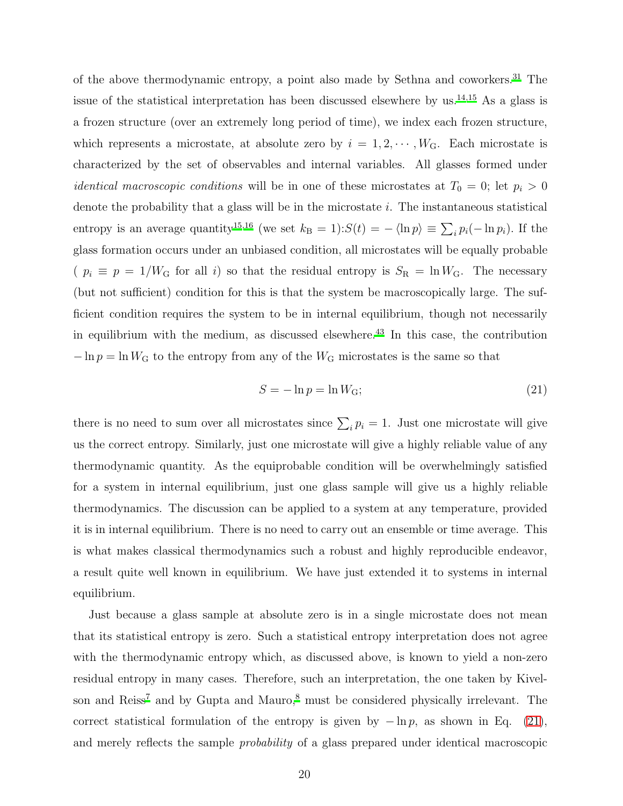of the above thermodynamic entropy, a point also made by Sethna and coworkers.[31](#page-23-7) The issue of the statistical interpretation has been discussed elsewhere by us.<sup>[14](#page-22-7)[,15](#page-22-8)</sup> As a glass is a frozen structure (over an extremely long period of time), we index each frozen structure, which represents a microstate, at absolute zero by  $i = 1, 2, \dots, W_G$ . Each microstate is characterized by the set of observables and internal variables. All glasses formed under *identical macroscopic conditions* will be in one of these microstates at  $T_0 = 0$ ; let  $p_i > 0$ denote the probability that a glass will be in the microstate  $i$ . The instantaneous statistical entropy is an average quantity<sup>[15](#page-22-8)[,16](#page-22-9)</sup> (we set  $k_B = 1$ ): $S(t) = -\langle \ln p \rangle \equiv \sum_i p_i(-\ln p_i)$ . If the glass formation occurs under an unbiased condition, all microstates will be equally probable (  $p_i \equiv p = 1/W_G$  for all i) so that the residual entropy is  $S_R = \ln W_G$ . The necessary (but not sufficient) condition for this is that the system be macroscopically large. The sufficient condition requires the system to be in internal equilibrium, though not necessarily in equilibrium with the medium, as discussed elsewhere. $43$  In this case, the contribution  $-\ln p = \ln W_G$  to the entropy from any of the W<sub>G</sub> microstates is the same so that

<span id="page-19-0"></span>
$$
S = -\ln p = \ln W_{\rm G};\tag{21}
$$

there is no need to sum over all microstates since  $\sum_i p_i = 1$ . Just one microstate will give us the correct entropy. Similarly, just one microstate will give a highly reliable value of any thermodynamic quantity. As the equiprobable condition will be overwhelmingly satisfied for a system in internal equilibrium, just one glass sample will give us a highly reliable thermodynamics. The discussion can be applied to a system at any temperature, provided it is in internal equilibrium. There is no need to carry out an ensemble or time average. This is what makes classical thermodynamics such a robust and highly reproducible endeavor, a result quite well known in equilibrium. We have just extended it to systems in internal equilibrium.

Just because a glass sample at absolute zero is in a single microstate does not mean that its statistical entropy is zero. Such a statistical entropy interpretation does not agree with the thermodynamic entropy which, as discussed above, is known to yield a non-zero residual entropy in many cases. Therefore, such an interpretation, the one taken by Kivel-son and Reiss<sup>[7](#page-22-17)</sup> and by Gupta and Mauro, $^8$  $^8$  must be considered physically irrelevant. The correct statistical formulation of the entropy is given by  $-\ln p$ , as shown in Eq. [\(21\)](#page-19-0), and merely reflects the sample probability of a glass prepared under identical macroscopic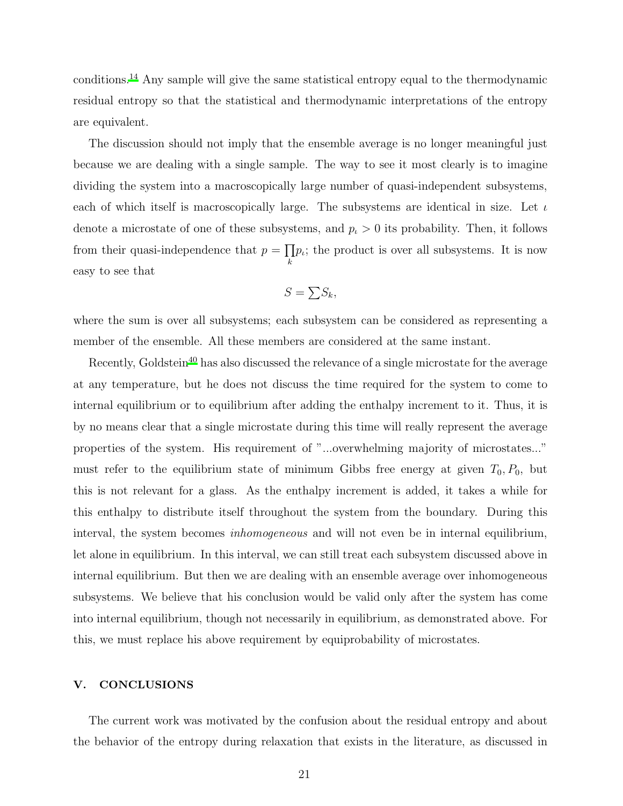conditions.[14](#page-22-7) Any sample will give the same statistical entropy equal to the thermodynamic residual entropy so that the statistical and thermodynamic interpretations of the entropy are equivalent.

The discussion should not imply that the ensemble average is no longer meaningful just because we are dealing with a single sample. The way to see it most clearly is to imagine dividing the system into a macroscopically large number of quasi-independent subsystems, each of which itself is macroscopically large. The subsystems are identical in size. Let  $\iota$ denote a microstate of one of these subsystems, and  $p_t > 0$  its probability. Then, it follows from their quasi-independence that  $p = \prod$  $\prod_k p_i$ ; the product is over all subsystems. It is now easy to see that

$$
S = \sum S_k,
$$

where the sum is over all subsystems; each subsystem can be considered as representing a member of the ensemble. All these members are considered at the same instant.

Recently, Goldstein<sup>[40](#page-23-15)</sup> has also discussed the relevance of a single microstate for the average at any temperature, but he does not discuss the time required for the system to come to internal equilibrium or to equilibrium after adding the enthalpy increment to it. Thus, it is by no means clear that a single microstate during this time will really represent the average properties of the system. His requirement of "...overwhelming majority of microstates..." must refer to the equilibrium state of minimum Gibbs free energy at given  $T_0$ ,  $P_0$ , but this is not relevant for a glass. As the enthalpy increment is added, it takes a while for this enthalpy to distribute itself throughout the system from the boundary. During this interval, the system becomes *inhomogeneous* and will not even be in internal equilibrium, let alone in equilibrium. In this interval, we can still treat each subsystem discussed above in internal equilibrium. But then we are dealing with an ensemble average over inhomogeneous subsystems. We believe that his conclusion would be valid only after the system has come into internal equilibrium, though not necessarily in equilibrium, as demonstrated above. For this, we must replace his above requirement by equiprobability of microstates.

#### V. CONCLUSIONS

The current work was motivated by the confusion about the residual entropy and about the behavior of the entropy during relaxation that exists in the literature, as discussed in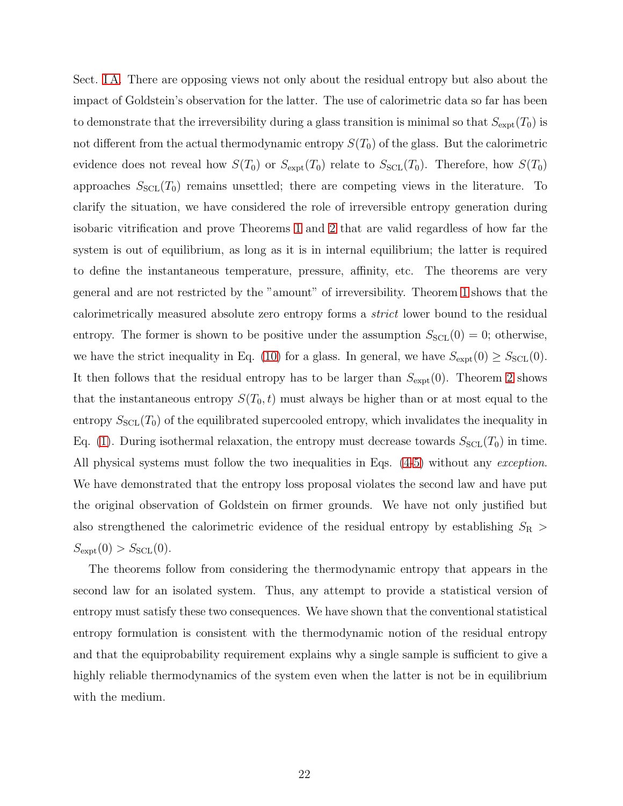Sect. [I A.](#page-2-1) There are opposing views not only about the residual entropy but also about the impact of Goldstein's observation for the latter. The use of calorimetric data so far has been to demonstrate that the irreversibility during a glass transition is minimal so that  $S_{\text{expt}}(T_0)$  is not different from the actual thermodynamic entropy  $S(T_0)$  of the glass. But the calorimetric evidence does not reveal how  $S(T_0)$  or  $S_{\text{expt}}(T_0)$  relate to  $S_{\text{SCL}}(T_0)$ . Therefore, how  $S(T_0)$ approaches  $S_{\text{SCL}}(T_0)$  remains unsettled; there are competing views in the literature. To clarify the situation, we have considered the role of irreversible entropy generation during isobaric vitrification and prove Theorems [1](#page-7-3) and [2](#page-7-0) that are valid regardless of how far the system is out of equilibrium, as long as it is in internal equilibrium; the latter is required to define the instantaneous temperature, pressure, affinity, etc. The theorems are very general and are not restricted by the "amount" of irreversibility. Theorem [1](#page-7-3) shows that the calorimetrically measured absolute zero entropy forms a strict lower bound to the residual entropy. The former is shown to be positive under the assumption  $S_{\text{SCL}}(0) = 0$ ; otherwise, we have the strict inequality in Eq. [\(10\)](#page-11-0) for a glass. In general, we have  $S_{\text{expt}}(0) \geq S_{\text{SCL}}(0)$ . It then follows that the residual entropy has to be larger than  $S_{\text{expt}}(0)$ . Theorem [2](#page-7-0) shows that the instantaneous entropy  $S(T_0,t)$  must always be higher than or at most equal to the entropy  $S<sub>SCL</sub>(T<sub>0</sub>)$  of the equilibrated supercooled entropy, which invalidates the inequality in Eq. [\(1\)](#page-2-0). During isothermal relaxation, the entropy must decrease towards  $S_{\text{SCL}}(T_0)$  in time. All physical systems must follow the two inequalities in Eqs.  $(4-5)$  $(4-5)$  without any *exception*. We have demonstrated that the entropy loss proposal violates the second law and have put the original observation of Goldstein on firmer grounds. We have not only justified but also strengthened the calorimetric evidence of the residual entropy by establishing  $S_{\rm R}$  >  $S_{\text{expt}}(0) > S_{\text{SCL}}(0).$ 

The theorems follow from considering the thermodynamic entropy that appears in the second law for an isolated system. Thus, any attempt to provide a statistical version of entropy must satisfy these two consequences. We have shown that the conventional statistical entropy formulation is consistent with the thermodynamic notion of the residual entropy and that the equiprobability requirement explains why a single sample is sufficient to give a highly reliable thermodynamics of the system even when the latter is not be in equilibrium with the medium.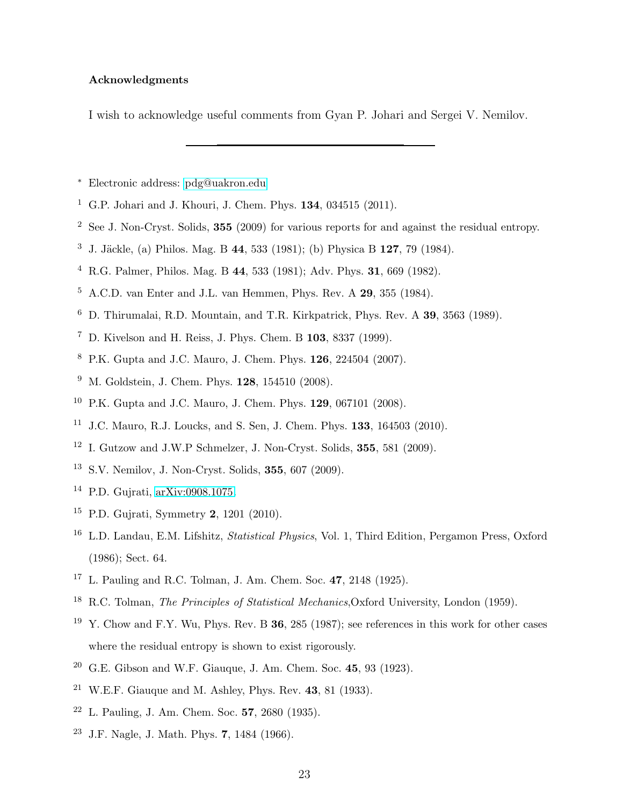# Acknowledgments

I wish to acknowledge useful comments from Gyan P. Johari and Sergei V. Nemilov.

- <span id="page-22-0"></span><sup>∗</sup> Electronic address: [pdg@uakron.edu](mailto:pdg@uakron.edu)
- <span id="page-22-1"></span><sup>1</sup> G.P. Johari and J. Khouri, J. Chem. Phys.  $134, 034515$  (2011).
- <span id="page-22-2"></span>See J. Non-Cryst. Solids, 355 (2009) for various reports for and against the residual entropy.
- <span id="page-22-20"></span><sup>3</sup> J. Jäckle, (a) Philos. Mag. B 44, 533 (1981); (b) Physica B 127, 79 (1984).
- R.G. Palmer, Philos. Mag. B 44, 533 (1981); Adv. Phys. 31, 669 (1982).
- A.C.D. van Enter and J.L. van Hemmen, Phys. Rev. A 29, 355 (1984).
- D. Thirumalai, R.D. Mountain, and T.R. Kirkpatrick, Phys. Rev. A 39, 3563 (1989).
- <span id="page-22-17"></span>D. Kivelson and H. Reiss, J. Phys. Chem. B 103, 8337 (1999).
- <span id="page-22-18"></span>P.K. Gupta and J.C. Mauro, J. Chem. Phys. 126, 224504 (2007).
- <span id="page-22-4"></span><sup>9</sup> M. Goldstein, J. Chem. Phys. **128**, 154510 (2008).
- <span id="page-22-19"></span>P.K. Gupta and J.C. Mauro, J. Chem. Phys. 129, 067101 (2008).
- <span id="page-22-3"></span>J.C. Mauro, R.J. Loucks, and S. Sen, J. Chem. Phys. 133, 164503 (2010).
- <span id="page-22-5"></span>I. Gutzow and J.W.P Schmelzer, J. Non-Cryst. Solids, 355, 581 (2009).
- <span id="page-22-6"></span>S.V. Nemilov, J. Non-Cryst. Solids, 355, 607 (2009).
- <span id="page-22-7"></span>P.D. Gujrati, [arXiv:0908.1075.](http://arxiv.org/abs/0908.1075)
- <span id="page-22-8"></span>P.D. Gujrati, Symmetry 2, 1201 (2010).
- <span id="page-22-9"></span> L.D. Landau, E.M. Lifshitz, Statistical Physics, Vol. 1, Third Edition, Pergamon Press, Oxford (1986); Sect. 64.
- <span id="page-22-10"></span>L. Pauling and R.C. Tolman, J. Am. Chem. Soc. 47, 2148 (1925).
- <span id="page-22-11"></span><sup>18</sup> R.C. Tolman, *The Principles of Statistical Mechanics*, Oxford University, London (1959).
- <span id="page-22-12"></span><sup>19</sup> Y. Chow and F.Y. Wu, Phys. Rev. B **36**, 285 (1987); see references in this work for other cases where the residual entropy is shown to exist rigorously.
- <span id="page-22-13"></span> $20\,$  G.E. Gibson and W.F. Giauque, J. Am. Chem. Soc. 45, 93 (1923).
- <span id="page-22-14"></span>W.E.F. Giauque and M. Ashley, Phys. Rev. 43, 81 (1933).
- <span id="page-22-15"></span>L. Pauling, J. Am. Chem. Soc. 57, 2680 (1935).
- <span id="page-22-16"></span>J.F. Nagle, J. Math. Phys. 7, 1484 (1966).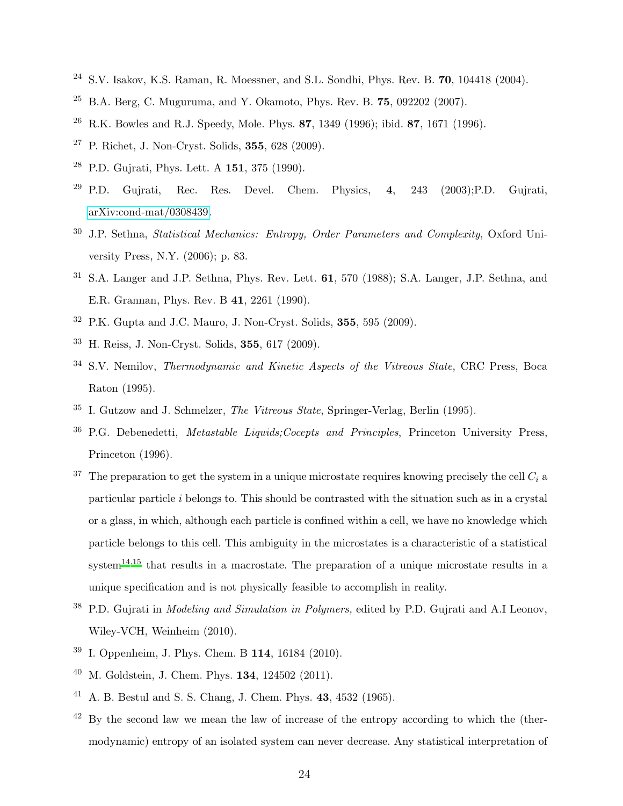- <span id="page-23-0"></span><sup>24</sup> S.V. Isakov, K.S. Raman, R. Moessner, and S.L. Sondhi, Phys. Rev. B. 70, 104418 (2004).
- <span id="page-23-1"></span> $25$  B.A. Berg, C. Muguruma, and Y. Okamoto, Phys. Rev. B. 75, 092202 (2007).
- <span id="page-23-2"></span><sup>26</sup> R.K. Bowles and R.J. Speedy, Mole. Phys. 87, 1349 (1996); ibid. 87, 1671 (1996).
- <span id="page-23-3"></span> $27$  P. Richet, J. Non-Cryst. Solids, 355, 628 (2009).
- <span id="page-23-4"></span> $28$  P.D. Gujrati, Phys. Lett. A 151, 375 (1990).
- <span id="page-23-5"></span><sup>29</sup> P.D. Gujrati, Rec. Res. Devel. Chem. Physics,  $4$ ,  $243$   $(2003)$ ; P.D. Gujrati, [arXiv:cond-mat/0308439.](http://arxiv.org/abs/cond-mat/0308439)
- <span id="page-23-6"></span> $30$  J.P. Sethna, *Statistical Mechanics: Entropy, Order Parameters and Complexity*, Oxford University Press, N.Y. (2006); p. 83.
- <span id="page-23-7"></span> $31$  S.A. Langer and J.P. Sethna, Phys. Rev. Lett.  $61$ ,  $570$  (1988); S.A. Langer, J.P. Sethna, and E.R. Grannan, Phys. Rev. B 41, 2261 (1990).
- <span id="page-23-8"></span><sup>32</sup> P.K. Gupta and J.C. Mauro, J. Non-Cryst. Solids, 355, 595 (2009).
- <span id="page-23-9"></span><sup>33</sup> H. Reiss, J. Non-Cryst. Solids, 355, 617 (2009).
- <span id="page-23-10"></span><sup>34</sup> S.V. Nemilov, *Thermodynamic and Kinetic Aspects of the Vitreous State*, CRC Press, Boca Raton (1995).
- <span id="page-23-18"></span><sup>35</sup> I. Gutzow and J. Schmelzer, The Vitreous State, Springer-Verlag, Berlin (1995).
- <span id="page-23-11"></span><sup>36</sup> P.G. Debenedetti, *Metastable Liquids; Cocepts and Principles*, Princeton University Press, Princeton (1996).
- <span id="page-23-12"></span><sup>37</sup> The preparation to get the system in a unique microstate requires knowing precisely the cell  $C_i$  a particular particle i belongs to. This should be contrasted with the situation such as in a crystal or a glass, in which, although each particle is confined within a cell, we have no knowledge which particle belongs to this cell. This ambiguity in the microstates is a characteristic of a statistical system<sup>[14](#page-22-7)[,15](#page-22-8)</sup> that results in a macrostate. The preparation of a unique microstate results in a unique specification and is not physically feasible to accomplish in reality.
- <span id="page-23-13"></span> $38$  P.D. Gujrati in *Modeling and Simulation in Polymers*, edited by P.D. Gujrati and A.I Leonov, Wiley-VCH, Weinheim (2010).
- <span id="page-23-14"></span><sup>39</sup> I. Oppenheim, J. Phys. Chem. B 114, 16184 (2010).
- <span id="page-23-15"></span> $40$  M. Goldstein, J. Chem. Phys. 134, 124502 (2011).
- <span id="page-23-16"></span><sup>41</sup> A. B. Bestul and S. S. Chang, J. Chem. Phys. 43, 4532 (1965).
- <span id="page-23-17"></span> $42$  By the second law we mean the law of increase of the entropy according to which the (thermodynamic) entropy of an isolated system can never decrease. Any statistical interpretation of